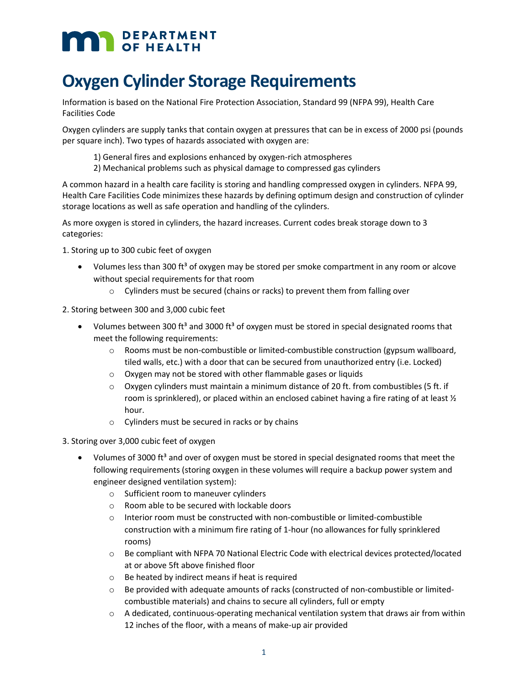# **MAN** DEPARTMENT

## **Oxygen Cylinder Storage Requirements**

Information is based on the National Fire Protection Association, Standard 99 (NFPA 99), Health Care Facilities Code

Oxygen cylinders are supply tanks that contain oxygen at pressures that can be in excess of 2000 psi (pounds per square inch). Two types of hazards associated with oxygen are:

- 1) General fires and explosions enhanced by oxygen-rich atmospheres
- 2) Mechanical problems such as physical damage to compressed gas cylinders

A common hazard in a health care facility is storing and handling compressed oxygen in cylinders. NFPA 99, Health Care Facilities Code minimizes these hazards by defining optimum design and construction of cylinder storage locations as well as safe operation and handling of the cylinders.

As more oxygen is stored in cylinders, the hazard increases. Current codes break storage down to 3 categories:

1. Storing up to 300 cubic feet of oxygen

- Volumes less than 300 ft<sup>3</sup> of oxygen may be stored per smoke compartment in any room or alcove without special requirements for that room
	- o Cylinders must be secured (chains or racks) to prevent them from falling over
- 2. Storing between 300 and 3,000 cubic feet
	- Volumes between 300 ft<sup>3</sup> and 3000 ft<sup>3</sup> of oxygen must be stored in special designated rooms that meet the following requirements:
		- $\circ$  Rooms must be non-combustible or limited-combustible construction (gypsum wallboard, tiled walls, etc.) with a door that can be secured from unauthorized entry (i.e. Locked)
		- o Oxygen may not be stored with other flammable gases or liquids
		- $\circ$  Oxygen cylinders must maintain a minimum distance of 20 ft. from combustibles (5 ft. if room is sprinklered), or placed within an enclosed cabinet having a fire rating of at least  $\mathcal{V}_2$ hour.
		- o Cylinders must be secured in racks or by chains
- 3. Storing over 3,000 cubic feet of oxygen
	- Volumes of 3000 ft<sup>3</sup> and over of oxygen must be stored in special designated rooms that meet the following requirements (storing oxygen in these volumes will require a backup power system and engineer designed ventilation system):
		- o Sufficient room to maneuver cylinders
		- o Room able to be secured with lockable doors
		- o Interior room must be constructed with non-combustible or limited-combustible construction with a minimum fire rating of 1-hour (no allowances for fully sprinklered rooms)
		- o Be compliant with NFPA 70 National Electric Code with electrical devices protected/located at or above 5ft above finished floor
		- $\circ$  Be heated by indirect means if heat is required
		- o Be provided with adequate amounts of racks (constructed of non-combustible or limitedcombustible materials) and chains to secure all cylinders, full or empty
		- o A dedicated, continuous-operating mechanical ventilation system that draws air from within 12 inches of the floor, with a means of make-up air provided